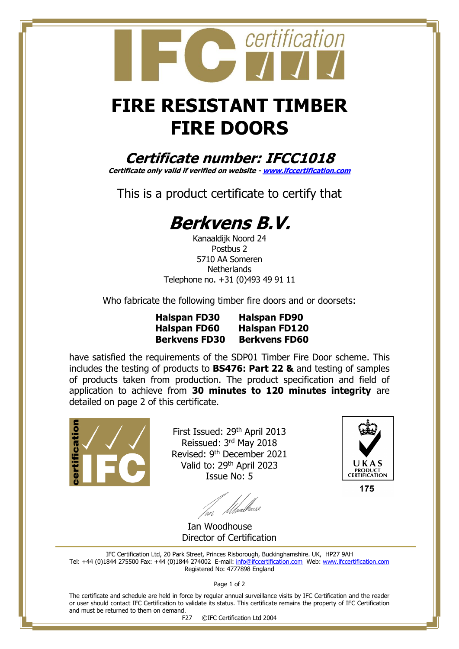## **FIRE RESISTANT TIMBER FIRE DOORS**

certification

**Certificate number: IFCC1018**

**Certificate only valid if verified on website - [www.ifccertification.com](http://www.ifccertification.com/)**

This is a product certificate to certify that

## **Berkvens B.V.**

Kanaaldijk Noord 24 Postbus 2 5710 AA Someren **Netherlands** Telephone no. +31 (0)493 49 91 11

Who fabricate the following timber fire doors and or doorsets:

**Halspan FD30 Halspan FD90 Halspan FD60 Halspan FD120 Berkvens FD30 Berkvens FD60** 

have satisfied the requirements of the SDP01 Timber Fire Door scheme. This includes the testing of products to **BS476: Part 22 &** and testing of samples of products taken from production. The product specification and field of application to achieve from **30 minutes to 120 minutes integrity** are detailed on page 2 of this certificate.



First Issued: 29th April 2013 Reissued: 3<sup>rd</sup> May 2018 Revised: 9th December 2021 Valid to: 29<sup>th</sup> April 2023 Issue No: 5



Ian Woodhouse Director of Certification

IFC Certification Ltd, 20 Park Street, Princes Risborough, Buckinghamshire. UK, HP27 9AH Tel: +44 (0)1844 275500 Fax: +44 (0)1844 274002 E-mail: [info@ifccertification.com](mailto:info@ifccertification.com) Web: [www.ifccertification.com](http://www.ifccertification.com/) Registered No: 4777898 England

Page 1 of 2

The certificate and schedule are held in force by regular annual surveillance visits by IFC Certification and the reader or user should contact IFC Certification to validate its status. This certificate remains the property of IFC Certification and must be returned to them on demand.

F27 ©IFC Certification Ltd 2004